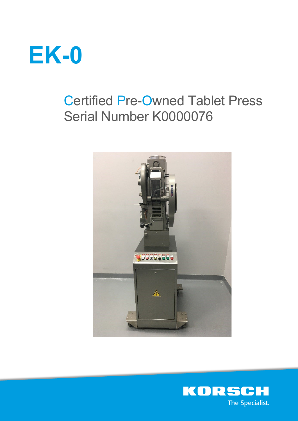

# Certified Pre-Owned Tablet Press Serial Number K0000076



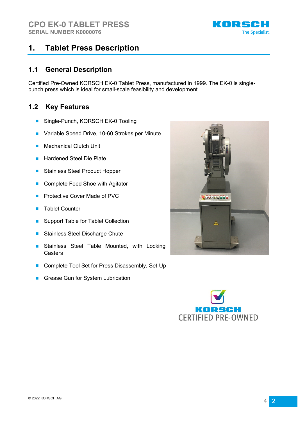

#### **1. Tablet Press Description**

#### **1.1 General Description**

Certified Pre-Owned KORSCH EK-0 Tablet Press, manufactured in 1999. The EK-0 is singlepunch press which is ideal for small-scale feasibility and development.

#### **1.2 Key Features**

- Single-Punch, KORSCH EK-0 Tooling
- Variable Speed Drive, 10-60 Strokes per Minute
- Mechanical Clutch Unit
- **Hardened Steel Die Plate**
- Stainless Steel Product Hopper
- Complete Feed Shoe with Agitator
- Protective Cover Made of PVC
- Tablet Counter
- Support Table for Tablet Collection
- Stainless Steel Discharge Chute
- Stainless Steel Table Mounted, with Locking **Casters**
- Complete Tool Set for Press Disassembly, Set-Up
- Grease Gun for System Lubrication



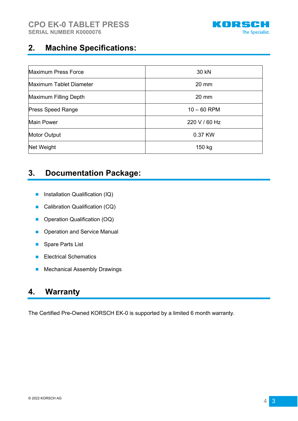

### **2. Machine Specifications:**

| <b>Maximum Press Force</b> | 30 kN           |
|----------------------------|-----------------|
| Maximum Tablet Diameter    | $20 \text{ mm}$ |
| Maximum Filling Depth      | $20 \text{ mm}$ |
| <b>Press Speed Range</b>   | $10 - 60$ RPM   |
| <b>Main Power</b>          | 220 V / 60 Hz   |
| <b>Motor Output</b>        | 0.37 KW         |
| Net Weight                 | 150 kg          |

## **3. Documentation Package:**

- Installation Qualification (IQ)
- Calibration Qualification (CQ)
- Operation Qualification (OQ)
- Operation and Service Manual
- Spare Parts List
- Electrical Schematics
- Mechanical Assembly Drawings

## **4. Warranty**

The Certified Pre-Owned KORSCH EK-0 is supported by a limited 6 month warranty.